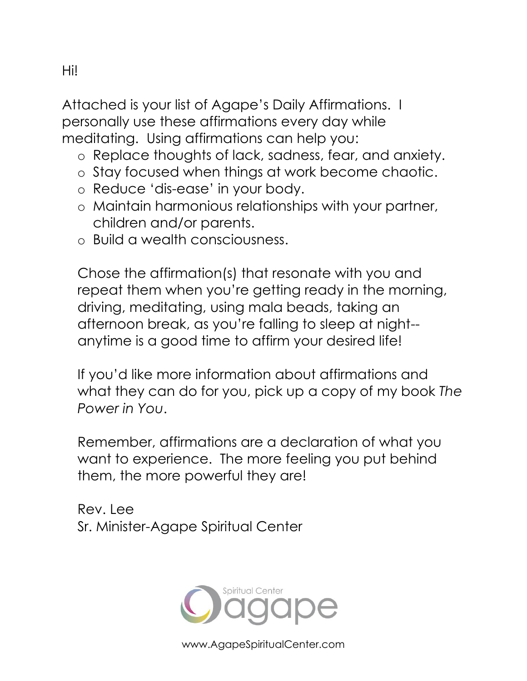Attached is your list of Agape's Daily Affirmations. I personally use these affirmations every day while meditating. Using affirmations can help you:

- o Replace thoughts of lack, sadness, fear, and anxiety.
- o Stay focused when things at work become chaotic.
- o Reduce 'dis-ease' in your body.
- o Maintain harmonious relationships with your partner, children and/or parents.
- o Build a wealth consciousness.

Chose the affirmation(s) that resonate with you and repeat them when you're getting ready in the morning, driving, meditating, using mala beads, taking an afternoon break, as you're falling to sleep at night- anytime is a good time to affirm your desired life!

If you'd like more information about affirmations and what they can do for you, pick up a copy of my book *The Power in You*.

Remember, affirmations are a declaration of what you want to experience. The more feeling you put behind them, the more powerful they are!

Rev. Lee Sr. Minister-Agape Spiritual Center



www.AgapeSpiritualCenter.com

Hi!